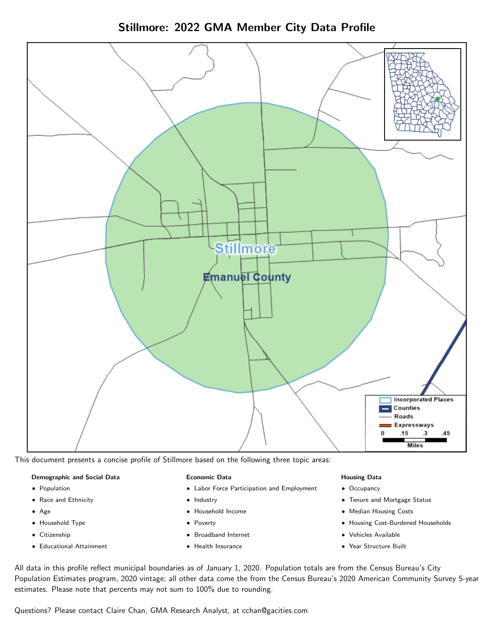Stillmore: 2022 GMA Member City Data Profile



This document presents a concise profile of Stillmore based on the following three topic areas:

#### Demographic and Social Data

- **•** Population
- Race and Ethnicity
- Age
- Household Type
- **Citizenship**
- Educational Attainment

#### Economic Data

- Labor Force Participation and Employment
- Industry
- Household Income
- Poverty
- Broadband Internet
- Health Insurance

#### Housing Data

- Occupancy
- Tenure and Mortgage Status
- Median Housing Costs
- Housing Cost-Burdened Households
- Vehicles Available
- Year Structure Built

All data in this profile reflect municipal boundaries as of January 1, 2020. Population totals are from the Census Bureau's City Population Estimates program, 2020 vintage; all other data come the from the Census Bureau's 2020 American Community Survey 5-year estimates. Please note that percents may not sum to 100% due to rounding.

Questions? Please contact Claire Chan, GMA Research Analyst, at [cchan@gacities.com.](mailto:cchan@gacities.com)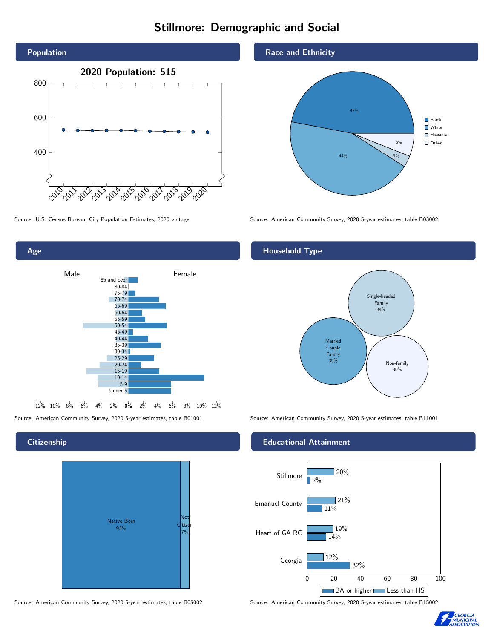# Stillmore: Demographic and Social





## **Citizenship**

Age



Source: American Community Survey, 2020 5-year estimates, table B05002 Source: American Community Survey, 2020 5-year estimates, table B15002

#### Race and Ethnicity



Source: U.S. Census Bureau, City Population Estimates, 2020 vintage Source: American Community Survey, 2020 5-year estimates, table B03002

## Household Type



Source: American Community Survey, 2020 5-year estimates, table B01001 Source: American Community Survey, 2020 5-year estimates, table B11001

#### Educational Attainment



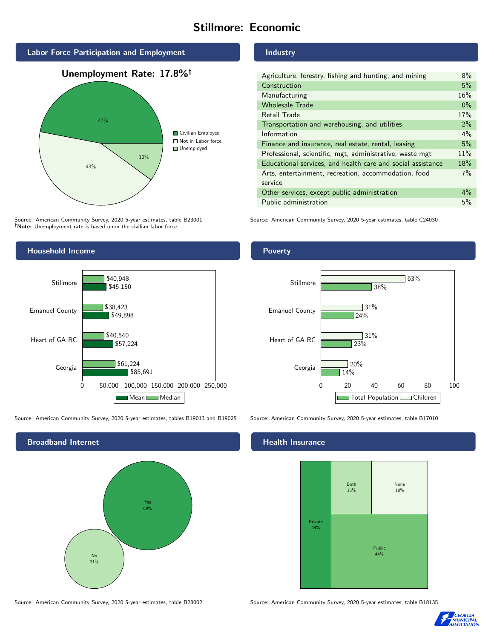# Stillmore: Economic



Source: American Community Survey, 2020 5-year estimates, table B23001 Note: Unemployment rate is based upon the civilian labor force.

# Industry

| Agriculture, forestry, fishing and hunting, and mining      | 8%    |
|-------------------------------------------------------------|-------|
| Construction                                                | 5%    |
| Manufacturing                                               | 16%   |
| <b>Wholesale Trade</b>                                      | $0\%$ |
| Retail Trade                                                | 17%   |
| Transportation and warehousing, and utilities               | 2%    |
| Information                                                 | 4%    |
| Finance and insurance, real estate, rental, leasing         | 5%    |
| Professional, scientific, mgt, administrative, waste mgt    | 11%   |
| Educational services, and health care and social assistance | 18%   |
| Arts, entertainment, recreation, accommodation, food        | $7\%$ |
| service                                                     |       |
| Other services, except public administration                | $4\%$ |
| Public administration                                       | 5%    |

Source: American Community Survey, 2020 5-year estimates, table C24030



Source: American Community Survey, 2020 5-year estimates, tables B19013 and B19025 Source: American Community Survey, 2020 5-year estimates, table B17010



# **Health Insurance**



Source: American Community Survey, 2020 5-year estimates, table B28002 Source: American Community Survey, 2020 5-year estimates, table B18135



#### Poverty